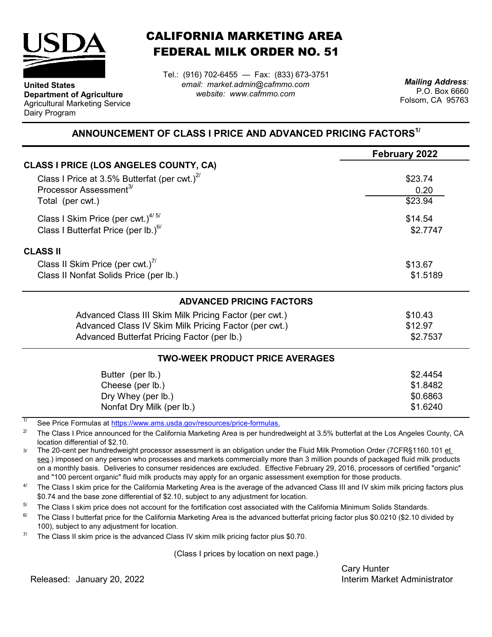

**Department of Agriculture** Agricultural Marketing Service

**United States**

Dairy Program

CALIFORNIA MARKETING AREA FEDERAL MILK ORDER NO. 51

*email: market.admin@cafmmo.com website: www.cafmmo.com* Tel.: (916) 702-6455 — Fax: (833) 673-3751 *Mailing Address:*

P.O. Box 6660 Folsom, CA 95763

## **ANNOUNCEMENT OF CLASS I PRICE AND ADVANCED PRICING FACTORS1/**

|                                                                                | <b>February 2022</b> |  |  |
|--------------------------------------------------------------------------------|----------------------|--|--|
| <b>CLASS I PRICE (LOS ANGELES COUNTY, CA)</b>                                  |                      |  |  |
| Class I Price at 3.5% Butterfat (per cwt.) $^{2}$                              | \$23.74              |  |  |
| Processor Assessment <sup>3/</sup>                                             | 0.20                 |  |  |
| Total (per cwt.)                                                               | \$23.94              |  |  |
| Class I Skim Price (per cwt.) $4/5/$                                           | \$14.54              |  |  |
| Class I Butterfat Price (per lb.) $^{6/}$                                      | \$2.7747             |  |  |
| <b>CLASS II</b>                                                                |                      |  |  |
| Class II Skim Price (per cwt.) <sup>7/</sup>                                   | \$13.67              |  |  |
| Class II Nonfat Solids Price (per lb.)                                         | \$1.5189             |  |  |
| <b>ADVANCED PRICING FACTORS</b>                                                |                      |  |  |
| Advanced Class III Skim Milk Pricing Factor (per cwt.)                         | \$10.43              |  |  |
| Advanced Class IV Skim Milk Pricing Factor (per cwt.)                          | \$12.97              |  |  |
| Advanced Butterfat Pricing Factor (per lb.)                                    | \$2.7537             |  |  |
| <b>TWO-WEEK PRODUCT PRICE AVERAGES</b>                                         |                      |  |  |
| Butter (per lb.)                                                               | \$2.4454             |  |  |
| Cheese (per lb.)                                                               | \$1.8482             |  |  |
| Dry Whey (per lb.)                                                             | \$0.6863             |  |  |
| Nonfat Dry Milk (per lb.)                                                      | \$1.6240             |  |  |
| 1/<br>See Dries Fermules of https://www.eme.uado.gov/resequesce/prise fermules |                      |  |  |

[See Price Formulas at h](https://www.ams.usda.gov/resources/price-formulas)ttps://www.ams.usda.gov/resources/price-formulas.

2/ The Class I Price announced for the California Marketing Area is per hundredweight at 3.5% butterfat at the Los Angeles County, CA location differential of \$2.10.

3/ The 20-cent per hundredweight processor assessment is an obligation under the Fluid Milk Promotion Order (7CFR§1160.101 et seq.) imposed on any person who processes and markets commercially more than 3 million pounds of packaged fluid milk products on a monthly basis. Deliveries to consumer residences are excluded. Effective February 29, 2016, processors of certified "organic" and "100 percent organic" fluid milk products may apply for an organic assessment exemption for those products.

4/ The Class I skim price for the California Marketing Area is the average of the advanced Class III and IV skim milk pricing factors plus \$0.74 and the base zone differential of \$2.10, subject to any adjustment for location.

5/ The Class I skim price does not account for the fortification cost associated with the California Minimum Solids Standards.

6/ The Class I butterfat price for the California Marketing Area is the advanced butterfat pricing factor plus \$0.0210 (\$2.10 divided by 100), subject to any adjustment for location.

7/ The Class II skim price is the advanced Class IV skim milk pricing factor plus \$0.70.

(Class I prices by location on next page.)

Cary Hunter

Released: Interim Market Administrator January 20, 2022